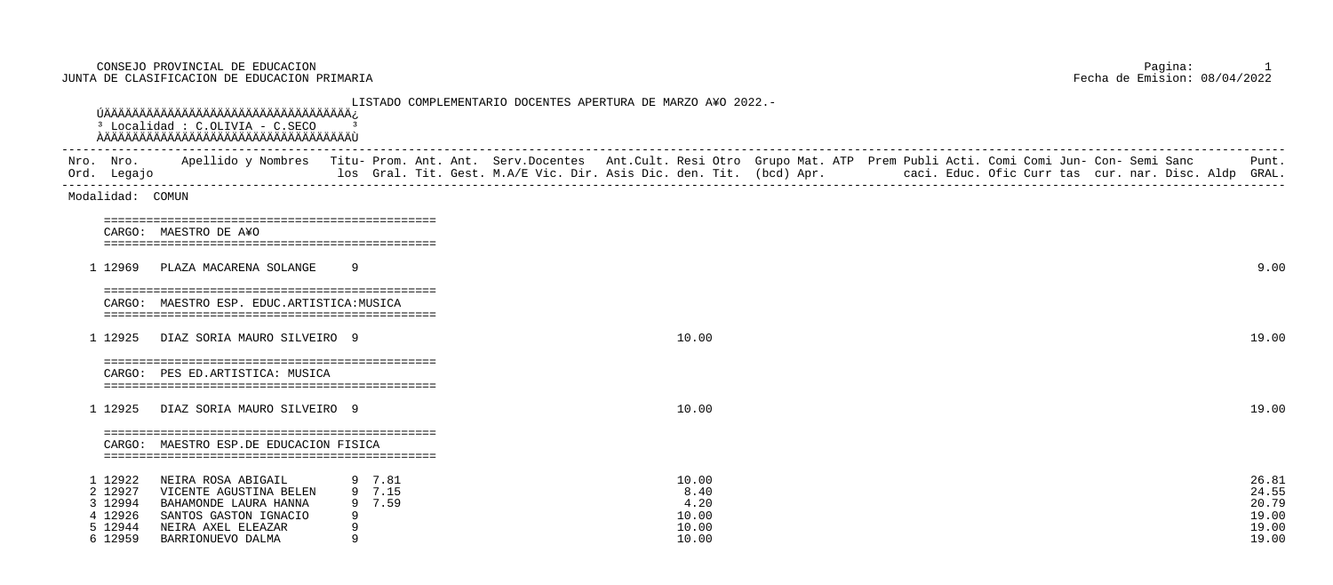CONSEJO PROVINCIAL DE EDUCACION Pagina: 1 JUNTA DE CLASIFICACION DE EDUCACION PRIMARIA

 LISTADO COMPLEMENTARIO DOCENTES APERTURA DE MARZO A¥O 2022.- ÚÄÄÄÄÄÄÄÄÄÄÄÄÄÄÄÄÄÄÄÄÄÄÄÄÄÄÄÄÄÄÄÄÄÄÄ¿ <sup>3</sup> Localidad : C.OLIVIA - C.SECO ۛ<br>ۿڴڴڴۿڴۿڴۿڴۿڴڞڟۿڴڞڞڟۿڴڞڞڟۿڴڞۮٙڞڞڟۿڴڞۮ ----------------------------------------------------------------------------------------------------------------------------------------------------------------------------- Nro. Nro. Apellido y Nombres Titu- Prom. Ant. Ant. Serv.Docentes Ant.Cult. Resi Otro Grupo Mat. ATP Prem Publi Acti. Comi Comi Jun- Con- Semi Sanc Punt. Ord. Legajo los Gral. Tit. Gest. M.A/E Vic. Dir. Asis Dic. den. Tit. (bcd) Apr. caci. Educ. Ofic Curr tas cur. nar. Disc. Aldp GRAL. ----------------------------------------------------------------------------------------------------------------------------------------------------------------------------- Modalidad: COMUN =============================================== CARGO: MAESTRO DE A¥O =============================================== 1 12969 PLAZA MACARENA SOLANGE 9 =============================================== CARGO: MAESTRO ESP. EDUC.ARTISTICA:MUSICA =============================================== 1 12925 DIAZ SORIA MAURO SILVEIRO 9 10.00 19.00 =============================================== CARGO: PES ED.ARTISTICA: MUSICA =============================================== 1 12925 DIAZ SORIA MAURO SILVEIRO 9 10.00 19.00 =============================================== CARGO: MAESTRO ESP.DE EDUCACION FISICA =============================================== 1 12922 NEIRA ROSA ABIGAIL 9 7.81 10.00 26.81 2 12927 VICENTE AGUSTINA BELEN 9 7.15 8.40 3 12994 BAHAMONDE LAURA HANNA 9 7.59 4.20 20.79 4 12926 SANTOS GASTON IGNACIO 9<br>5 12944 NEIRA AXEL ELEAZAR 9 5 12944 NEIRA AXEL ELEAZAR 9 10.00 6 12959 BARRIONUEVO DALMA 9 200 9 10.00

| 10.00 | 26.81 |
|-------|-------|
| 8.40  | 24.55 |
| 4.20  | 20.79 |
| 10.00 | 19.00 |
| 10.00 | 19.00 |
| 10.00 | 19.00 |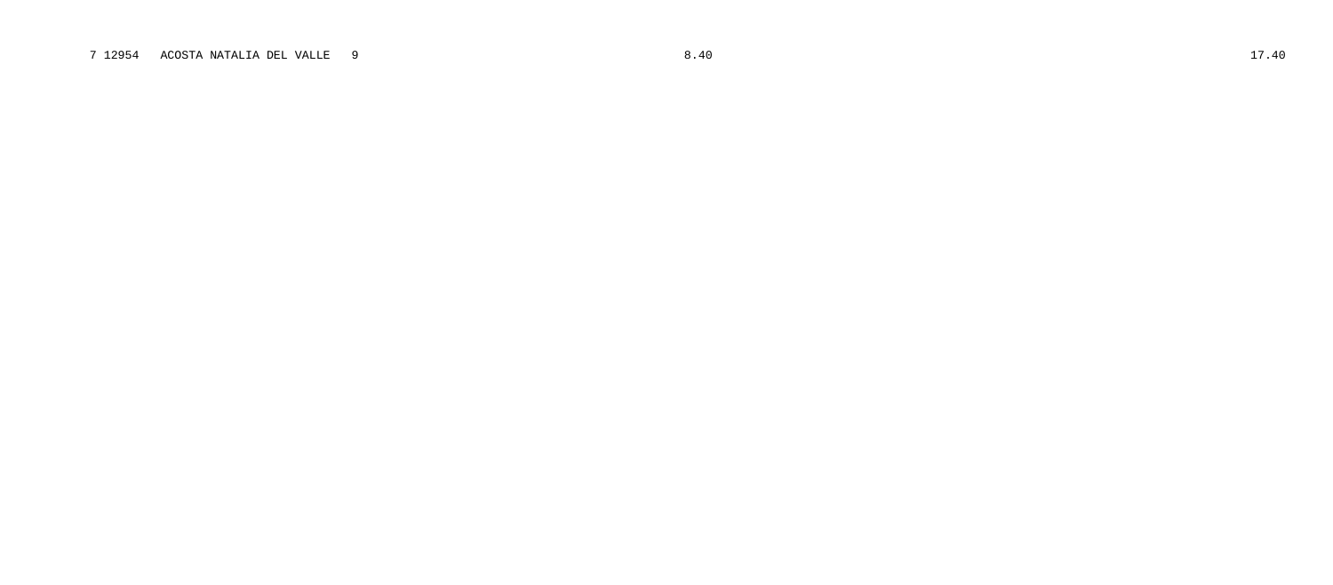## 7 12954 ACOSTA NATALIA DEL VALLE 9 8.40 17.40